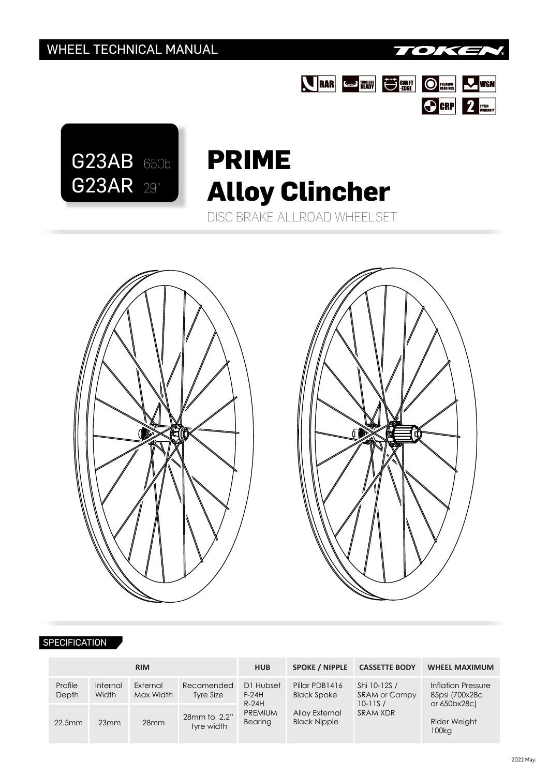





## DISC BRAKE ALLROAD WHEELSET **PRIME Alloy Clincher**





## **SPECIFICATION**

|                  |                   | <b>RIM</b>            |                            | <b>HUB</b>                      | <b>SPOKE / NIPPLE</b>                 | <b>CASSETTE BODY</b>                                            | <b>WHEEL MAXIMUM</b>                                 |  |
|------------------|-------------------|-----------------------|----------------------------|---------------------------------|---------------------------------------|-----------------------------------------------------------------|------------------------------------------------------|--|
| Profile<br>Depth | Internal<br>Width | External<br>Max Width | Recomended<br>Tyre Size    | D1 Hubset<br>$F-24H$<br>$R-24H$ | Pillar PDB1416<br><b>Black Spoke</b>  | Shi 10-12S /<br><b>SRAM or Campy</b><br>$10 - 11S/$<br>SRAM XDR | Inflation Pressure<br>85psi (700x28c<br>or 650bx28c) |  |
| 22.5mm           | 23mm              | 28 <sub>mm</sub>      | 28mm to 2.2"<br>tyre width | <b>PREMIUM</b><br>Bearing       | Alloy External<br><b>Black Nipple</b> |                                                                 | <b>Rider Weight</b><br>100 <sub>kq</sub>             |  |